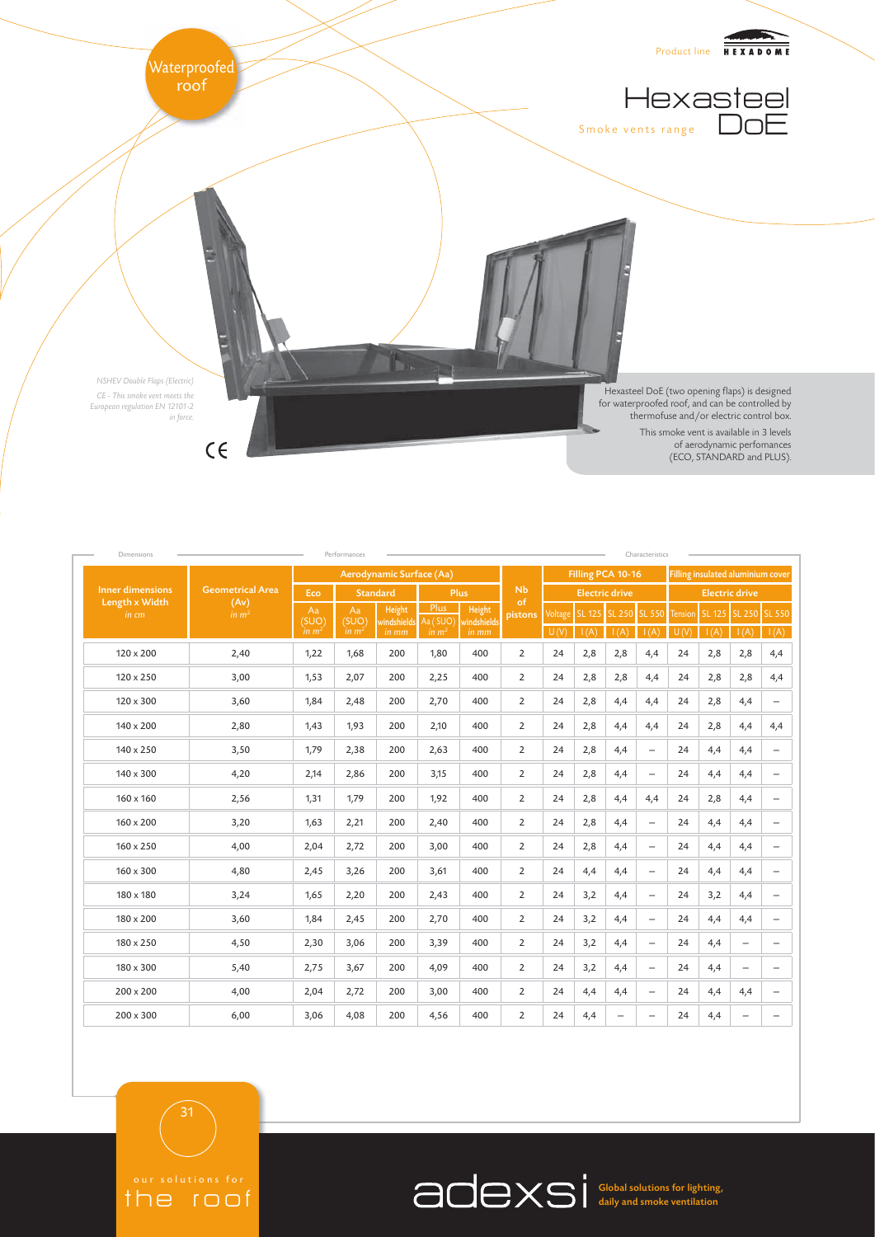

| Performances<br>Dimensions<br>Characteristics      |                                                      |                                  |                           |                 |                                         |                                |                   |                       |      |                          |                                                    |                        |      |                              |                          |
|----------------------------------------------------|------------------------------------------------------|----------------------------------|---------------------------|-----------------|-----------------------------------------|--------------------------------|-------------------|-----------------------|------|--------------------------|----------------------------------------------------|------------------------|------|------------------------------|--------------------------|
| <b>Inner dimensions</b><br>Length x Width<br>in cm | <b>Geometrical Area</b><br>(Av)<br>in m <sup>2</sup> | Aerodynamic Surface (Aa)         |                           |                 |                                         |                                | Filling PCA 10-16 |                       |      |                          | Filling insulated aluminium cover                  |                        |      |                              |                          |
|                                                    |                                                      | Eco                              | <b>Standard</b>           |                 | <b>Plus</b>                             |                                | <b>Nb</b><br>of   | <b>Electric drive</b> |      |                          |                                                    | <b>Electric drive</b>  |      |                              |                          |
|                                                    |                                                      | Aa<br>(SUO)<br>in m <sup>2</sup> | Aa<br>(SUO)<br>$\lim m^2$ | Height<br>in mm | Plus<br>windshields Aa (SUO)<br>in $m2$ | Height<br>windshields<br>in mm | pistons           | Voltage<br>U(V)       | I(A) | I(A)                     | SL 125 SL 250 SL 550<br>$\overline{\mathsf{I}(A)}$ | <b>Tension</b><br>U(V) | I(A) | SL 125 SL 250 SL 550<br>I(A) | I(A)                     |
| 120 x 200                                          | 2,40                                                 | 1,22                             | 1,68                      | 200             | 1,80                                    | 400                            | $\overline{2}$    | 24                    | 2,8  | 2,8                      | 4,4                                                | 24                     | 2,8  | 2,8                          | 4,4                      |
| $120 \times 250$                                   | 3,00                                                 | 1,53                             | 2,07                      | 200             | 2,25                                    | 400                            | $\overline{2}$    | 24                    | 2,8  | 2,8                      | 4,4                                                | 24                     | 2,8  | 2,8                          | 4,4                      |
| $120 \times 300$                                   | 3,60                                                 | 1,84                             | 2,48                      | 200             | 2,70                                    | 400                            | $\overline{2}$    | 24                    | 2,8  | 4,4                      | 4,4                                                | 24                     | 2,8  | 4,4                          | $\overline{\phantom{0}}$ |
| 140 x 200                                          | 2,80                                                 | 1,43                             | 1,93                      | 200             | 2,10                                    | 400                            | $\overline{2}$    | 24                    | 2,8  | 4,4                      | 4,4                                                | 24                     | 2,8  | 4,4                          | 4,4                      |
| 140 x 250                                          | 3,50                                                 | 1,79                             | 2,38                      | 200             | 2,63                                    | 400                            | $\overline{2}$    | 24                    | 2,8  | 4,4                      | $\qquad \qquad -$                                  | 24                     | 4,4  | 4,4                          | $\overline{\phantom{0}}$ |
| $140 \times 300$                                   | 4,20                                                 | 2,14                             | 2,86                      | 200             | 3,15                                    | 400                            | $\overline{2}$    | 24                    | 2,8  | 4,4                      | $\qquad \qquad -$                                  | 24                     | 4,4  | 4,4                          | $\qquad \qquad -$        |
| $160 \times 160$                                   | 2,56                                                 | 1,31                             | 1,79                      | 200             | 1,92                                    | 400                            | $\overline{2}$    | 24                    | 2,8  | 4,4                      | 4,4                                                | 24                     | 2,8  | 4,4                          | $\overline{\phantom{0}}$ |
| $160 \times 200$                                   | 3,20                                                 | 1,63                             | 2,21                      | 200             | 2,40                                    | 400                            | $\overline{2}$    | 24                    | 2,8  | 4,4                      | $\qquad \qquad -$                                  | 24                     | 4,4  | 4,4                          | $\overline{\phantom{0}}$ |
| $160 \times 250$                                   | 4,00                                                 | 2,04                             | 2,72                      | 200             | 3,00                                    | 400                            | $\overline{2}$    | 24                    | 2,8  | 4,4                      | $\overline{\phantom{m}}$                           | 24                     | 4,4  | 4,4                          | $\overline{\phantom{m}}$ |
| $160 \times 300$                                   | 4,80                                                 | 2,45                             | 3,26                      | 200             | 3,61                                    | 400                            | $\overline{2}$    | 24                    | 4,4  | 4,4                      | $\qquad \qquad -$                                  | 24                     | 4,4  | 4,4                          | $\qquad \qquad -$        |
| 180 x 180                                          | 3,24                                                 | 1,65                             | 2,20                      | 200             | 2,43                                    | 400                            | $\overline{2}$    | 24                    | 3,2  | 4,4                      | $\overline{\phantom{0}}$                           | 24                     | 3,2  | 4,4                          | $\overline{\phantom{m}}$ |
| 180 x 200                                          | 3,60                                                 | 1,84                             | 2,45                      | 200             | 2,70                                    | 400                            | $\overline{2}$    | 24                    | 3,2  | 4,4                      | $\qquad \qquad -$                                  | 24                     | 4,4  | 4,4                          | $\qquad \qquad -$        |
| 180 x 250                                          | 4,50                                                 | 2,30                             | 3,06                      | 200             | 3,39                                    | 400                            | $\overline{2}$    | 24                    | 3,2  | 4,4                      | $\qquad \qquad -$                                  | 24                     | 4,4  | $\qquad \qquad -$            | $\overline{\phantom{0}}$ |
| 180 x 300                                          | 5,40                                                 | 2,75                             | 3,67                      | 200             | 4,09                                    | 400                            | $\overline{2}$    | 24                    | 3,2  | 4,4                      | $\overline{\phantom{0}}$                           | 24                     | 4,4  | $\overline{\phantom{0}}$     | $\overline{\phantom{0}}$ |
| $200 \times 200$                                   | 4,00                                                 | 2,04                             | 2,72                      | 200             | 3,00                                    | 400                            | $\overline{2}$    | 24                    | 4,4  | 4,4                      | $\overline{\phantom{0}}$                           | 24                     | 4,4  | 4,4                          | $\qquad \qquad -$        |
| $200 \times 300$                                   | 6,00                                                 | 3,06                             | 4,08                      | 200             | 4,56                                    | 400                            | $\overline{2}$    | 24                    | 4,4  | $\overline{\phantom{m}}$ | $\qquad \qquad -$                                  | 24                     | 4,4  | $\overline{\phantom{m}}$     | $\qquad \qquad -$        |

the roof

Global solutions for lighting, daily and smoke ventilation